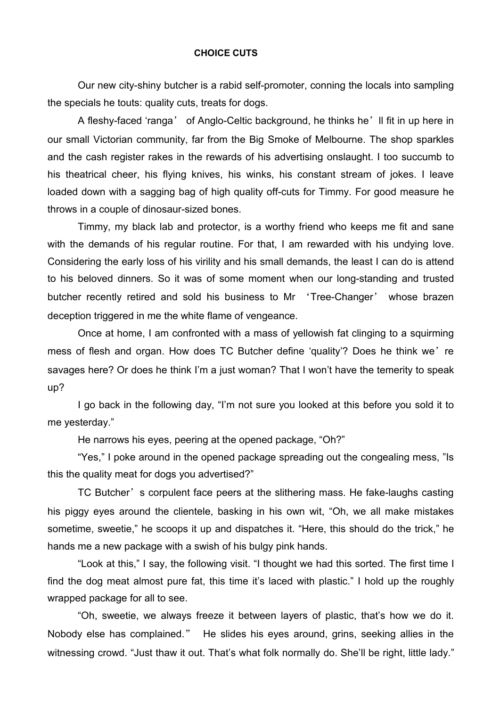## **CHOICE CUTS**

Our new city-shiny butcher is a rabid self-promoter, conning the locals into sampling the specials he touts: quality cuts, treats for dogs.

A fleshy-faced 'ranga' of Anglo-Celtic background, he thinks he'll fit in up here in our small Victorian community, far from the Big Smoke of Melbourne. The shop sparkles and the cash register rakes in the rewards of his advertising onslaught. I too succumb to his theatrical cheer, his flying knives, his winks, his constant stream of jokes. I leave loaded down with a sagging bag of high quality off-cuts for Timmy. For good measure he throws in a couple of dinosaur-sized bones.

Timmy, my black lab and protector, is a worthy friend who keeps me fit and sane with the demands of his regular routine. For that, I am rewarded with his undying love. Considering the early loss of his virility and his small demands, the least I can do is attend to his beloved dinners. So it was of some moment when our long-standing and trusted butcher recently retired and sold his business to Mr 'Tree-Changer' whose brazen deception triggered in me the white flame of vengeance.

Once at home, I am confronted with a mass of yellowish fat clinging to a squirming mess of flesh and organ. How does TC Butcher define 'quality'? Does he think we're savages here? Or does he think I'm a just woman? That I won't have the temerity to speak up?

I go back in the following day, "I'm not sure you looked at this before you sold it to me yesterday."

He narrows his eyes, peering at the opened package, "Oh?"

"Yes," I poke around in the opened package spreading out the congealing mess, "Is this the quality meat for dogs you advertised?"

TC Butcher's corpulent face peers at the slithering mass. He fake-laughs casting his piggy eyes around the clientele, basking in his own wit, "Oh, we all make mistakes sometime, sweetie," he scoops it up and dispatches it. "Here, this should do the trick," he hands me a new package with a swish of his bulgy pink hands.

"Look at this," I say, the following visit. "I thought we had this sorted. The first time I find the dog meat almost pure fat, this time it's laced with plastic." I hold up the roughly wrapped package for all to see.

"Oh, sweetie, we always freeze it between layers of plastic, that's how we do it. Nobody else has complained." He slides his eyes around, grins, seeking allies in the witnessing crowd. "Just thaw it out. That's what folk normally do. She'll be right, little lady."